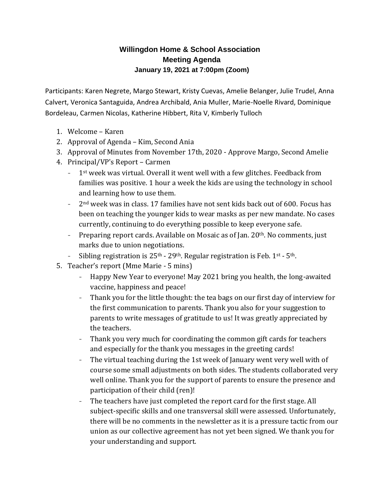# **Willingdon Home & School Association Meeting Agenda January 19, 2021 at 7:00pm (Zoom)**

Participants: Karen Negrete, Margo Stewart, Kristy Cuevas, Amelie Belanger, Julie Trudel, Anna Calvert, Veronica Santaguida, Andrea Archibald, Ania Muller, Marie-Noelle Rivard, Dominique Bordeleau, Carmen Nicolas, Katherine Hibbert, Rita V, Kimberly Tulloch

- 1. Welcome Karen
- 2. Approval of Agenda Kim, Second Ania
- 3. Approval of Minutes from November 17th, 2020 Approve Margo, Second Amelie
- 4. Principal/VP's Report Carmen
	- 1<sup>st</sup> week was virtual. Overall it went well with a few glitches. Feedback from families was positive. 1 hour a week the kids are using the technology in school and learning how to use them.
	- 2<sup>nd</sup> week was in class. 17 families have not sent kids back out of 600. Focus has been on teaching the younger kids to wear masks as per new mandate. No cases currently, continuing to do everything possible to keep everyone safe.
	- Preparing report cards. Available on Mosaic as of Jan. 20<sup>th</sup>. No comments, just marks due to union negotiations.
	- Sibling registration is  $25<sup>th</sup>$   $29<sup>th</sup>$ . Regular registration is Feb. 1<sup>st</sup>  $5<sup>th</sup>$ .
- 5. Teacher's report (Mme Marie 5 mins)
	- Happy New Year to everyone! May 2021 bring you health, the long-awaited vaccine, happiness and peace!
	- Thank you for the little thought: the tea bags on our first day of interview for the first communication to parents. Thank you also for your suggestion to parents to write messages of gratitude to us! It was greatly appreciated by the teachers.
	- Thank you very much for coordinating the common gift cards for teachers and especially for the thank you messages in the greeting cards!
	- The virtual teaching during the 1st week of January went very well with of course some small adjustments on both sides. The students collaborated very well online. Thank you for the support of parents to ensure the presence and participation of their child (ren)!
	- The teachers have just completed the report card for the first stage. All subject-specific skills and one transversal skill were assessed. Unfortunately, there will be no comments in the newsletter as it is a pressure tactic from our union as our collective agreement has not yet been signed. We thank you for your understanding and support.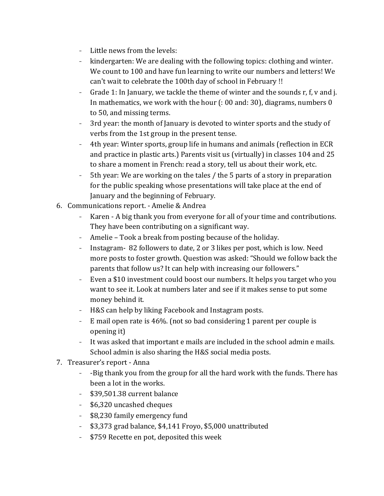- Little news from the levels:
- kindergarten: We are dealing with the following topics: clothing and winter. We count to 100 and have fun learning to write our numbers and letters! We can't wait to celebrate the 100th day of school in February !!
- Grade 1: In January, we tackle the theme of winter and the sounds r, f, v and j. In mathematics, we work with the hour (: 00 and: 30), diagrams, numbers 0 to 50, and missing terms.
- 3rd year: the month of January is devoted to winter sports and the study of verbs from the 1st group in the present tense.
- 4th year: Winter sports, group life in humans and animals (reflection in ECR and practice in plastic arts.) Parents visit us (virtually) in classes 104 and 25 to share a moment in French: read a story, tell us about their work, etc.
- 5th year: We are working on the tales / the 5 parts of a story in preparation for the public speaking whose presentations will take place at the end of January and the beginning of February.
- 6. Communications report. Amelie & Andrea
	- Karen A big thank you from everyone for all of your time and contributions. They have been contributing on a significant way.
	- Amelie Took a break from posting because of the holiday.
	- Instagram- 82 followers to date, 2 or 3 likes per post, which is low. Need more posts to foster growth. Question was asked: "Should we follow back the parents that follow us? It can help with increasing our followers."
	- Even a \$10 investment could boost our numbers. It helps you target who you want to see it. Look at numbers later and see if it makes sense to put some money behind it.
	- H&S can help by liking Facebook and Instagram posts.
	- E mail open rate is 46%. (not so bad considering 1 parent per couple is opening it)
	- It was asked that important e mails are included in the school admin e mails. School admin is also sharing the H&S social media posts.
- 7. Treasurer's report Anna
	- -Big thank you from the group for all the hard work with the funds. There has been a lot in the works.
	- \$39,501.38 current balance
	- \$6,320 uncashed cheques
	- \$8,230 family emergency fund
	- \$3,373 grad balance, \$4,141 Froyo, \$5,000 unattributed
	- \$759 Recette en pot, deposited this week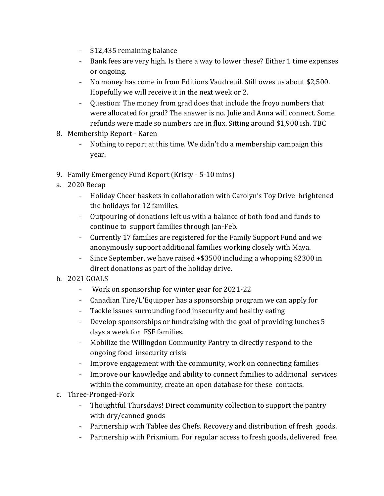- \$12,435 remaining balance
- Bank fees are very high. Is there a way to lower these? Either 1 time expenses or ongoing.
- No money has come in from Editions Vaudreuil. Still owes us about \$2,500. Hopefully we will receive it in the next week or 2.
- Question: The money from grad does that include the froyo numbers that were allocated for grad? The answer is no. Julie and Anna will connect. Some refunds were made so numbers are in flux. Sitting around \$1,900 ish. TBC
- 8. Membership Report Karen
	- Nothing to report at this time. We didn't do a membership campaign this year.
- 9. Family Emergency Fund Report (Kristy 5-10 mins)
- a. 2020 Recap
	- Holiday Cheer baskets in collaboration with Carolyn's Toy Drive brightened the holidays for 12 families.
	- Outpouring of donations left us with a balance of both food and funds to continue to support families through Jan-Feb.
	- Currently 17 families are registered for the Family Support Fund and we anonymously support additional families working closely with Maya.
	- Since September, we have raised +\$3500 including a whopping \$2300 in direct donations as part of the holiday drive.
- b. 2021 GOALS
	- Work on sponsorship for winter gear for 2021-22
	- Canadian Tire/L'Equipper has a sponsorship program we can apply for
	- Tackle issues surrounding food insecurity and healthy eating
	- Develop sponsorships or fundraising with the goal of providing lunches 5 days a week for FSF families.
	- Mobilize the Willingdon Community Pantry to directly respond to the ongoing food insecurity crisis
	- Improve engagement with the community, work on connecting families
	- Improve our knowledge and ability to connect families to additional services within the community, create an open database for these contacts.
- c. Three-Pronged-Fork
	- Thoughtful Thursdays! Direct community collection to support the pantry with dry/canned goods
	- Partnership with Tablee des Chefs. Recovery and distribution of fresh goods.
	- Partnership with Prixmium. For regular access to fresh goods, delivered free.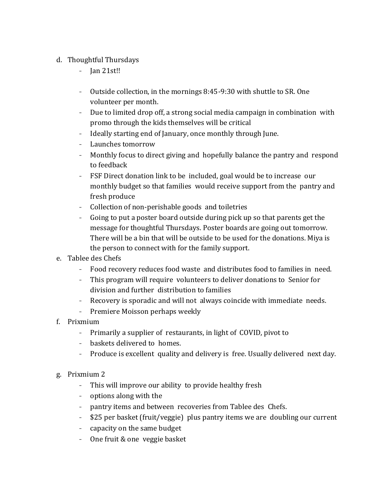### d. Thoughtful Thursdays

- Jan 21st!!
- Outside collection, in the mornings 8:45-9:30 with shuttle to SR. One volunteer per month.
- Due to limited drop off, a strong social media campaign in combination with promo through the kids themselves will be critical
- Ideally starting end of January, once monthly through June.
- Launches tomorrow
- Monthly focus to direct giving and hopefully balance the pantry and respond to feedback
- FSF Direct donation link to be included, goal would be to increase our monthly budget so that families would receive support from the pantry and fresh produce
- Collection of non-perishable goods and toiletries
- Going to put a poster board outside during pick up so that parents get the message for thoughtful Thursdays. Poster boards are going out tomorrow. There will be a bin that will be outside to be used for the donations. Miya is the person to connect with for the family support.
- e. Tablee des Chefs
	- Food recovery reduces food waste and distributes food to families in need.
	- This program will require volunteers to deliver donations to Senior for division and further distribution to families
	- Recovery is sporadic and will not always coincide with immediate needs.
	- Premiere Moisson perhaps weekly
- f. Prixmium
	- Primarily a supplier of restaurants, in light of COVID, pivot to
	- baskets delivered to homes.
	- Produce is excellent quality and delivery is free. Usually delivered next day.
- g. Prixmium 2
	- This will improve our ability to provide healthy fresh
	- options along with the
	- pantry items and between recoveries from Tablee des Chefs.
	- \$25 per basket (fruit/veggie) plus pantry items we are doubling our current
	- capacity on the same budget
	- One fruit & one veggie basket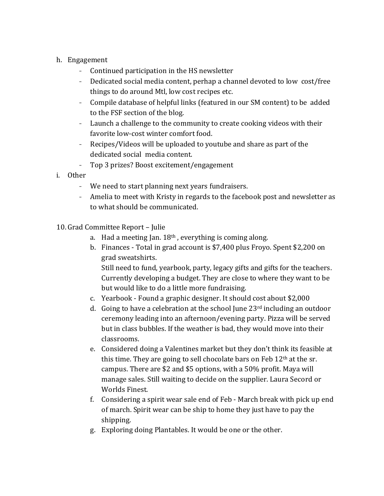### h. Engagement

- Continued participation in the HS newsletter
- Dedicated social media content, perhap a channel devoted to low cost/free things to do around Mtl, low cost recipes etc.
- Compile database of helpful links (featured in our SM content) to be added to the FSF section of the blog.
- Launch a challenge to the community to create cooking videos with their favorite low-cost winter comfort food.
- Recipes/Videos will be uploaded to youtube and share as part of the dedicated social media content.
- Top 3 prizes? Boost excitement/engagement
- i. Other
	- We need to start planning next years fundraisers.
	- Amelia to meet with Kristy in regards to the facebook post and newsletter as to what should be communicated.
- 10. Grad Committee Report Julie
	- a. Had a meeting Jan.  $18<sup>th</sup>$ , everything is coming along.
	- b. Finances Total in grad account is \$7,400 plus Froyo. Spent \$2,200 on grad sweatshirts.

Still need to fund, yearbook, party, legacy gifts and gifts for the teachers. Currently developing a budget. They are close to where they want to be but would like to do a little more fundraising.

- c. Yearbook Found a graphic designer. It should cost about \$2,000
- d. Going to have a celebration at the school June  $23<sup>rd</sup>$  including an outdoor ceremony leading into an afternoon/evening party. Pizza will be served but in class bubbles. If the weather is bad, they would move into their classrooms.
- e. Considered doing a Valentines market but they don't think its feasible at this time. They are going to sell chocolate bars on Feb 12<sup>th</sup> at the sr. campus. There are \$2 and \$5 options, with a 50% profit. Maya will manage sales. Still waiting to decide on the supplier. Laura Secord or Worlds Finest.
- f. Considering a spirit wear sale end of Feb March break with pick up end of march. Spirit wear can be ship to home they just have to pay the shipping.
- g. Exploring doing Plantables. It would be one or the other.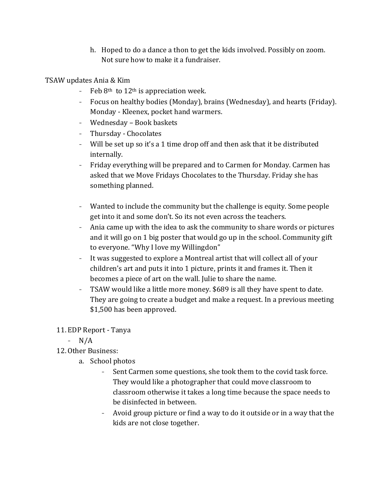h. Hoped to do a dance a thon to get the kids involved. Possibly on zoom. Not sure how to make it a fundraiser.

### TSAW updates Ania & Kim

- Feb  $8<sup>th</sup>$  to  $12<sup>th</sup>$  is appreciation week.
- Focus on healthy bodies (Monday), brains (Wednesday), and hearts (Friday). Monday - Kleenex, pocket hand warmers.
- Wednesday Book baskets
- Thursday Chocolates
- Will be set up so it's a 1 time drop off and then ask that it be distributed internally.
- Friday everything will be prepared and to Carmen for Monday. Carmen has asked that we Move Fridays Chocolates to the Thursday. Friday she has something planned.
- Wanted to include the community but the challenge is equity. Some people get into it and some don't. So its not even across the teachers.
- Ania came up with the idea to ask the community to share words or pictures and it will go on 1 big poster that would go up in the school. Community gift to everyone. "Why I love my Willingdon"
- It was suggested to explore a Montreal artist that will collect all of your children's art and puts it into 1 picture, prints it and frames it. Then it becomes a piece of art on the wall. Julie to share the name.
- TSAW would like a little more money. \$689 is all they have spent to date. They are going to create a budget and make a request. In a previous meeting \$1,500 has been approved.

### 11. EDP Report - Tanya

- N/A

# 12. Other Business:

- a. School photos
	- Sent Carmen some questions, she took them to the covid task force. They would like a photographer that could move classroom to classroom otherwise it takes a long time because the space needs to be disinfected in between.
	- Avoid group picture or find a way to do it outside or in a way that the kids are not close together.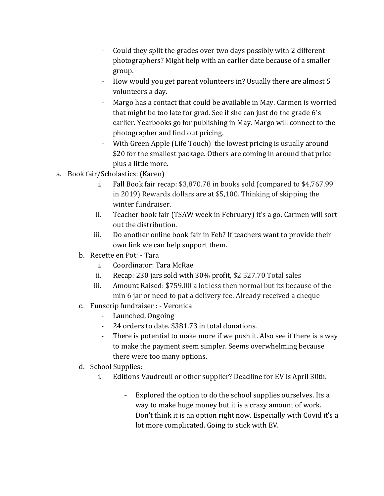- Could they split the grades over two days possibly with 2 different photographers? Might help with an earlier date because of a smaller group.
- How would you get parent volunteers in? Usually there are almost 5 volunteers a day.
- Margo has a contact that could be available in May. Carmen is worried that might be too late for grad. See if she can just do the grade 6's earlier. Yearbooks go for publishing in May. Margo will connect to the photographer and find out pricing.
- With Green Apple (Life Touch) the lowest pricing is usually around \$20 for the smallest package. Others are coming in around that price plus a little more.
- a. Book fair/Scholastics: (Karen)
	- i. Fall Book fair recap: \$3,870.78 in books sold (compared to \$4,767.99 in 2019) Rewards dollars are at \$5,100. Thinking of skipping the winter fundraiser.
	- ii. Teacher book fair (TSAW week in February) it's a go. Carmen will sort out the distribution.
	- iii. Do another online book fair in Feb? If teachers want to provide their own link we can help support them.
	- b. Recette en Pot: Tara
		- i. Coordinator: Tara McRae
		- ii. Recap: 230 jars sold with 30% profit, \$2 527.70 Total sales
		- iii. Amount Raised: \$759.00 a lot less then normal but its because of the min 6 jar or need to pat a delivery fee. Already received a cheque
	- c. Funscrip fundraiser : Veronica
		- Launched, Ongoing
		- 24 orders to date. \$381.73 in total donations.
		- There is potential to make more if we push it. Also see if there is a way to make the payment seem simpler. Seems overwhelming because there were too many options.
	- d. School Supplies:
		- i. Editions Vaudreuil or other supplier? Deadline for EV is April 30th.
			- Explored the option to do the school supplies ourselves. Its a way to make huge money but it is a crazy amount of work. Don't think it is an option right now. Especially with Covid it's a lot more complicated. Going to stick with EV.